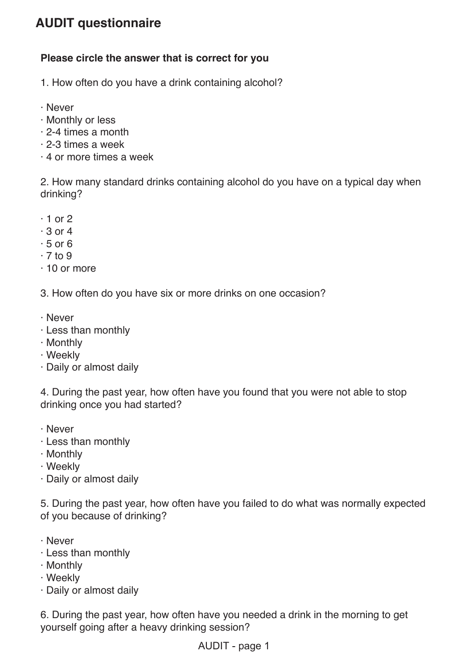## **AUDIT questionnaire**

## **Please circle the answer that is correct for you**

- 1. How often do you have a drink containing alcohol?
- · Never
- · Monthly or less
- · 2-4 times a month
- · 2-3 times a week
- · 4 or more times a week

2. How many standard drinks containing alcohol do you have on a typical day when drinking?

- $\cdot$  1 or 2
- $\cdot$  3 or 4
- $\cdot$  5 or 6
- $\cdot$  7 to 9
- · 10 or more

3. How often do you have six or more drinks on one occasion?

- · Never
- · Less than monthly
- · Monthly
- · Weekly
- · Daily or almost daily

4. During the past year, how often have you found that you were not able to stop drinking once you had started?

- · Never
- · Less than monthly
- · Monthly
- · Weekly
- · Daily or almost daily

5. During the past year, how often have you failed to do what was normally expected of you because of drinking?

- · Never
- · Less than monthly
- · Monthly
- · Weekly
- · Daily or almost daily

6. During the past year, how often have you needed a drink in the morning to get yourself going after a heavy drinking session?